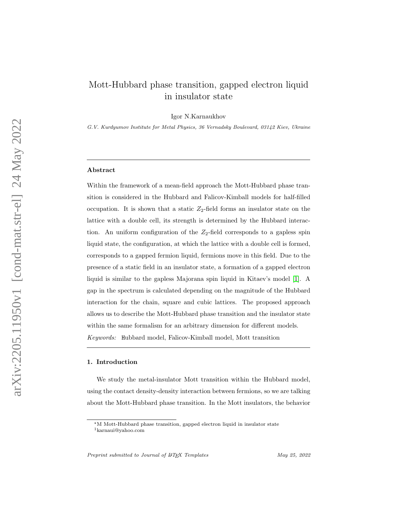# Mott-Hubbard phase transition, gapped electron liquid in insulator state

Igor N.Karnaukhov

G.V. Kurdyumov Institute for Metal Physics, 36 Vernadsky Boulevard, 03142 Kiev, Ukraine

### Abstract

Within the framework of a mean-field approach the Mott-Hubbard phase transition is considered in the Hubbard and Falicov-Kimball models for half-filled occupation. It is shown that a static  $Z_2$ -field forms an insulator state on the lattice with a double cell, its strength is determined by the Hubbard interaction. An uniform configuration of the  $Z_2$ -field corresponds to a gapless spin liquid state, the configuration, at which the lattice with a double cell is formed, corresponds to a gapped fermion liquid, fermions move in this field. Due to the presence of a static field in an insulator state, a formation of a gapped electron liquid is similar to the gapless Majorana spin liquid in Kitaev's model [\[1\]](#page-11-0). A gap in the spectrum is calculated depending on the magnitude of the Hubbard interaction for the chain, square and cubic lattices. The proposed approach allows us to describe the Mott-Hubbard phase transition and the insulator state within the same formalism for an arbitrary dimension for different models. Keywords: Hubbard model, Falicov-Kimball model, Mott transition

#### 1. Introduction

We study the metal-insulator Mott transition within the Hubbard model, using the contact density-density interaction between fermions, so we are talking about the Mott-Hubbard phase transition. In the Mott insulators, the behavior

Preprint submitted to Journal of  $\mu_{TEX}$  Templates May 25, 2022

<sup>?</sup>M Mott-Hubbard phase transition, gapped electron liquid in insulator state

<sup>1</sup>karnaui@yahoo.com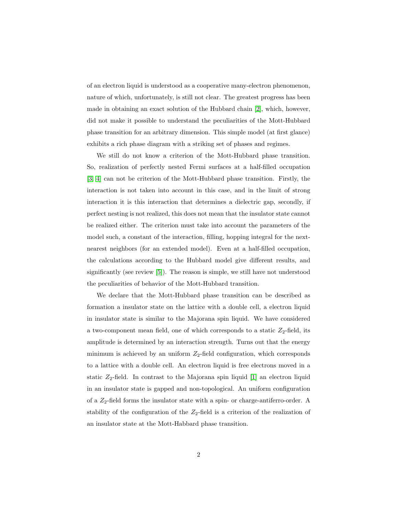of an electron liquid is understood as a cooperative many-electron phenomenon, nature of which, unfortunately, is still not clear. The greatest progress has been made in obtaining an exact solution of the Hubbard chain [\[2\]](#page-11-1), which, however, did not make it possible to understand the peculiarities of the Mott-Hubbard phase transition for an arbitrary dimension. This simple model (at first glance) exhibits a rich phase diagram with a striking set of phases and regimes.

We still do not know a criterion of the Mott-Hubbard phase transition. So, realization of perfectly nested Fermi surfaces at a half-filled occupation [\[3,](#page-11-2) [4\]](#page-11-3) can not be criterion of the Mott-Hubbard phase transition. Firstly, the interaction is not taken into account in this case, and in the limit of strong interaction it is this interaction that determines a dielectric gap, secondly, if perfect nesting is not realized, this does not mean that the insulator state cannot be realized either. The criterion must take into account the parameters of the model such, a constant of the interaction, filling, hopping integral for the nextnearest neighbors (for an extended model). Even at a half-filled occupation, the calculations according to the Hubbard model give different results, and significantly (see review [\[5\]](#page-11-4)). The reason is simple, we still have not understood the peculiarities of behavior of the Mott-Hubbard transition.

We declare that the Mott-Hubbard phase transition can be described as formation a insulator state on the lattice with a double cell, a electron liquid in insulator state is similar to the Majorana spin liquid. We have considered a two-component mean field, one of which corresponds to a static  $Z_2$ -field, its amplitude is determined by an interaction strength. Turns out that the energy minimum is achieved by an uniform  $Z_2$ -field configuration, which corresponds to a lattice with a double cell. An electron liquid is free electrons moved in a static  $Z_2$ -field. In contrast to the Majorana spin liquid [\[1\]](#page-11-0) an electron liquid in an insulator state is gapped and non-topological. An uniform configuration of a  $Z_2$ -field forms the insulator state with a spin- or charge-antiferro-order. A stability of the configuration of the  $Z_2$ -field is a criterion of the realization of an insulator state at the Mott-Habbard phase transition.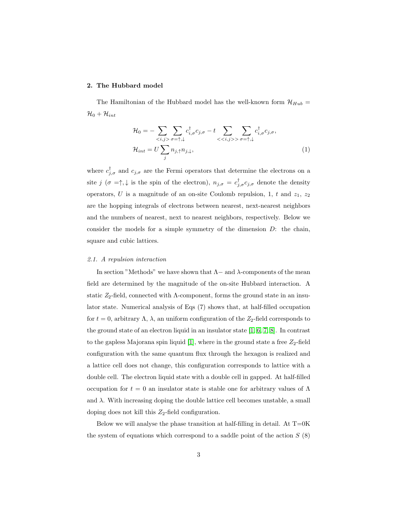# 2. The Hubbard model

The Hamiltonian of the Hubbard model has the well-known form  $\mathcal{H}_{Hub}$  =  $\mathcal{H}_0 + \mathcal{H}_{int}$ 

$$
\mathcal{H}_0 = -\sum_{\langle i,j \rangle} \sum_{\sigma=\uparrow,\downarrow} c^{\dagger}_{i,\sigma} c_{j,\sigma} - t \sum_{\langle i,j \rangle > \sigma=\uparrow,\downarrow} c^{\dagger}_{i,\sigma} c_{j,\sigma},
$$
  

$$
\mathcal{H}_{int} = U \sum_j n_{j,\uparrow} n_{j,\downarrow}, \tag{1}
$$

where  $c_{j,\sigma}^{\dagger}$  and  $c_{j,\sigma}$  are the Fermi operators that determine the electrons on a site  $j(\sigma = \uparrow, \downarrow)$  is the spin of the electron),  $n_{j,\sigma} = c_{j,\sigma}^{\dagger} c_{j,\sigma}$  denote the density operators, U is a magnitude of an on-site Coulomb repulsion, 1, t and  $z_1$ ,  $z_2$ are the hopping integrals of electrons between nearest, next-nearest neighbors and the numbers of nearest, next to nearest neighbors, respectively. Below we consider the models for a simple symmetry of the dimension D: the chain, square and cubic lattices.

#### 2.1. A repulsion interaction

In section "Methods" we have shown that  $\Lambda$  – and  $\lambda$ -components of the mean field are determined by the magnitude of the on-site Hubbard interaction. A static  $Z_2$ -field, connected with  $\Lambda$ -component, forms the ground state in an insulator state. Numerical analysis of Eqs (7) shows that, at half-filled occupation for  $t = 0$ , arbitrary  $\Lambda$ ,  $\lambda$ , an uniform configuration of the  $Z_2$ -field corresponds to the ground state of an electron liquid in an insulator state [\[1,](#page-11-0) [6,](#page-11-5) [7,](#page-12-0) [8\]](#page-12-1). In contrast to the gapless Majorana spin liquid [\[1\]](#page-11-0), where in the ground state a free  $Z_2$ -field configuration with the same quantum flux through the hexagon is realized and a lattice cell does not change, this configuration corresponds to lattice with a double cell. The electron liquid state with a double cell in gapped. At half-filled occupation for  $t = 0$  an insulator state is stable one for arbitrary values of  $\Lambda$ and  $\lambda$ . With increasing doping the double lattice cell becomes unstable, a small doping does not kill this  $Z_2$ -field configuration.

Below we will analyse the phase transition at half-filling in detail. At  $T=0K$ the system of equations which correspond to a saddle point of the action  $S(8)$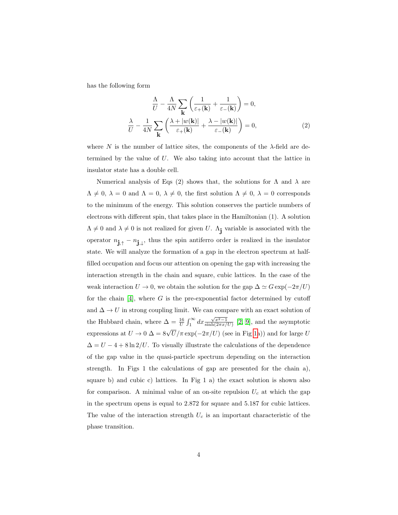has the following form

$$
\frac{\Lambda}{U} - \frac{\Lambda}{4N} \sum_{\mathbf{k}} \left( \frac{1}{\varepsilon_{+}(\mathbf{k})} + \frac{1}{\varepsilon_{-}(\mathbf{k})} \right) = 0,
$$
  

$$
\frac{\lambda}{U} - \frac{1}{4N} \sum_{\mathbf{k}} \left( \frac{\lambda + |w(\mathbf{k})|}{\varepsilon_{+}(\mathbf{k})} + \frac{\lambda - |w(\mathbf{k})|}{\varepsilon_{-}(\mathbf{k})} \right) = 0,
$$
 (2)

where N is the number of lattice sites, the components of the  $\lambda$ -field are determined by the value of U. We also taking into account that the lattice in insulator state has a double cell.

Numerical analysis of Eqs (2) shows that, the solutions for  $\Lambda$  and  $\lambda$  are  $\Lambda \neq 0, \lambda = 0$  and  $\Lambda = 0, \lambda \neq 0$ , the first solution  $\Lambda \neq 0, \lambda = 0$  corresponds to the minimum of the energy. This solution conserves the particle numbers of electrons with different spin, that takes place in the Hamiltonian (1). A solution  $\Lambda \neq 0$  and  $\lambda \neq 0$  is not realized for given U.  $\Lambda_j$  variable is associated with the operator  $n_{\mathbf{j}, \uparrow} - n_{\mathbf{j}, \downarrow}$ , thus the spin antiferro order is realized in the insulator state. We will analyze the formation of a gap in the electron spectrum at halffilled occupation and focus our attention on opening the gap with increasing the interaction strength in the chain and square, cubic lattices. In the case of the weak interaction  $U \to 0$ , we obtain the solution for the gap  $\Delta \simeq G \exp(-2\pi/U)$ for the chain  $[4]$ , where G is the pre-exponential factor determined by cutoff and  $\Delta \to U$  in strong coupling limit. We can compare with an exact solution of the Hubbard chain, where  $\Delta = \frac{16}{U} \int_1^{\infty} dx \frac{\sqrt{x^2 - 1}}{\sinh(2\pi x/U)}$  [\[2,](#page-11-1) [9\]](#page-12-2), and the asymptotic expressions at  $U \to 0$   $\Delta = 8\sqrt{U}/\pi \exp(-2\pi/U)$  (see in Fig [1a](#page-4-0))) and for large U  $\Delta = U - 4 + 8 \ln 2/U$ . To visually illustrate the calculations of the dependence of the gap value in the quasi-particle spectrum depending on the interaction strength. In Figs 1 the calculations of gap are presented for the chain a), square b) and cubic c) lattices. In Fig 1 a) the exact solution is shown also for comparison. A minimal value of an on-site repulsion  $U_c$  at which the gap in the spectrum opens is equal to 2.872 for square and 5.187 for cubic lattices. The value of the interaction strength  $U_c$  is an important characteristic of the phase transition.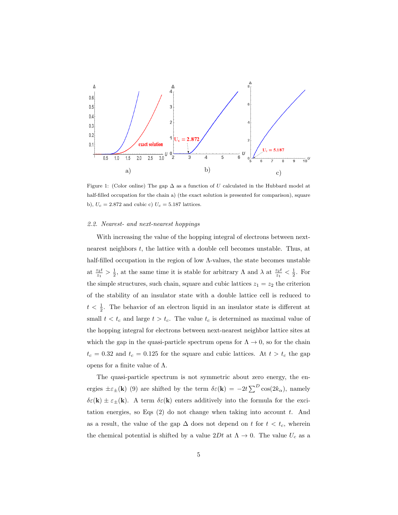

<span id="page-4-0"></span>Figure 1: (Color online) The gap  $\Delta$  as a function of U calculated in the Hubbard model at half-filled occupation for the chain a) (the exact solution is presented for comparison), square b),  $U_c = 2.872$  and cubic c)  $U_c = 5.187$  lattices.

#### 2.2. Nearest- and next-nearest hoppings

With increasing the value of the hopping integral of electrons between nextnearest neighbors t, the lattice with a double cell becomes unstable. Thus, at half-filled occupation in the region of low Λ-values, the state becomes unstable at  $\frac{z_2t}{z_1} > \frac{1}{2}$ , at the same time it is stable for arbitrary  $\Lambda$  and  $\lambda$  at  $\frac{z_2t}{z_1} < \frac{1}{2}$ . For the simple structures, such chain, square and cubic lattices  $z_1 = z_2$  the criterion of the stability of an insulator state with a double lattice cell is reduced to  $t < \frac{1}{2}$ . The behavior of an electron liquid in an insulator state is different at small  $t < t_c$  and large  $t > t_c$ . The value  $t_c$  is determined as maximal value of the hopping integral for electrons between next-nearest neighbor lattice sites at which the gap in the quasi-particle spectrum opens for  $\Lambda \to 0$ , so for the chain  $t_c = 0.32$  and  $t_c = 0.125$  for the square and cubic lattices. At  $t > t_c$  the gap opens for a finite value of Λ.

The quasi-particle spectrum is not symmetric about zero energy, the energies  $\pm \varepsilon_{\pm}(\mathbf{k})$  (9) are shifted by the term  $\delta \varepsilon(\mathbf{k}) = -2t \sum_{\alpha}^D \cos(2k_{\alpha})$ , namely  $\delta \varepsilon(\mathbf{k}) \pm \varepsilon_{\pm}(\mathbf{k})$ . A term  $\delta \varepsilon(\mathbf{k})$  enters additively into the formula for the excitation energies, so Eqs  $(2)$  do not change when taking into account t. And as a result, the value of the gap  $\Delta$  does not depend on t for  $t < t_c$ , wherein the chemical potential is shifted by a value  $2Dt$  at  $\Lambda \to 0$ . The value  $U_c$  as a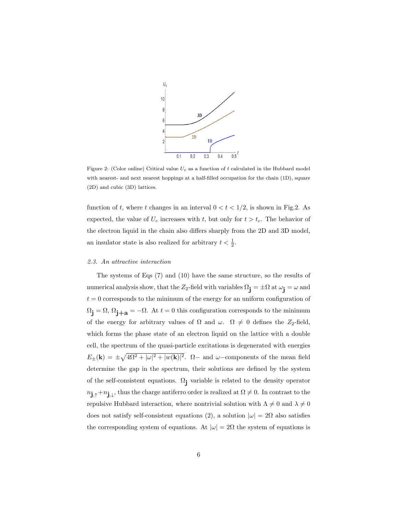

Figure 2: (Color online) Critical value  $U_c$  as a function of t calculated in the Hubbard model with nearest- and next nearest hoppings at a half-filled occupation for the chain (1D), square (2D) and cubic (3D) lattices.

function of t, where t changes in an interval  $0 < t < 1/2$ , is shown in Fig.2. As expected, the value of  $U_c$  increases with t, but only for  $t > t_c$ . The behavior of the electron liquid in the chain also differs sharply from the 2D and 3D model, an insulator state is also realized for arbitrary  $t < \frac{1}{2}$ .

#### 2.3. An attractive interaction

The systems of Eqs (7) and (10) have the same structure, so the results of numerical analysis show, that the Z<sub>2</sub>-field with variables  $\Omega_j = \pm \Omega$  at  $\omega_j = \omega$  and  $t = 0$  corresponds to the minimum of the energy for an uniform configuration of  $\Omega_j = \Omega$ ,  $\Omega_{j+a} = -\Omega$ . At  $t = 0$  this configuration corresponds to the minimum of the energy for arbitrary values of  $\Omega$  and  $\omega$ .  $\Omega \neq 0$  defines the Z<sub>2</sub>-field, which forms the phase state of an electron liquid on the lattice with a double cell, the spectrum of the quasi-particle excitations is degenerated with energies  $E_{\pm}(\mathbf{k}) = \pm \sqrt{4\Omega^2 + |\omega|^2 + |w(\mathbf{k})|^2}$ .  $\Omega$  and  $\omega$  components of the mean field determine the gap in the spectrum, their solutions are defined by the system of the self-consistent equations.  $\Omega_j$  variable is related to the density operator  $n_{\mathbf{j},\uparrow}+n_{\mathbf{j},\downarrow}$ , thus the charge antiferro order is realized at  $\Omega \neq 0$ . In contrast to the repulsive Hubbard interaction, where nontrivial solution with  $\Lambda\neq 0$  and  $\lambda\neq 0$ does not satisfy self-consistent equations (2), a solution  $|\omega| = 2\Omega$  also satisfies the corresponding system of equations. At  $|\omega| = 2\Omega$  the system of equations is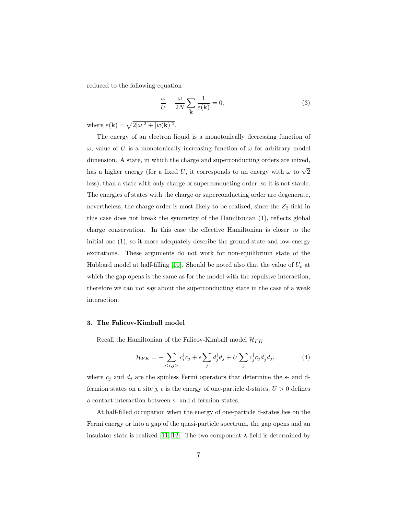reduced to the following equation

$$
\frac{\omega}{U} - \frac{\omega}{2N} \sum_{\mathbf{k}} \frac{1}{\varepsilon(\mathbf{k})} = 0,
$$
\n(3)

where  $\varepsilon(\mathbf{k}) = \sqrt{2|\omega|^2 + |w(\mathbf{k})|^2}$ .

The energy of an electron liquid is a monotonically decreasing function of  $\omega$ , value of U is a monotonically increasing function of  $\omega$  for arbitrary model dimension. A state, in which the charge and superconducting orders are mixed, has a higher energy (for a fixed U, it corresponds to an energy with  $\omega$  to  $\sqrt{2}$ less), than a state with only charge or superconducting order, so it is not stable. The energies of states with the charge or superconducting order are degenerate, nevertheless, the charge order is most likely to be realized, since the  $Z_2$ -field in this case does not break the symmetry of the Hamiltonian (1), reflects global charge conservation. In this case the effective Hamiltonian is closer to the initial one (1), so it more adequately describe the ground state and low-energy excitations. These arguments do not work for non-equilibrium state of the Hubbard model at half-filling [\[10\]](#page-12-3). Should be noted also that the value of  $U_c$  at which the gap opens is the same as for the model with the repulsive interaction, therefore we can not say about the superconducting state in the case of a weak interaction.

## 3. The Falicov-Kimball model

Recall the Hamiltonian of the Falicov-Kimball model  $\mathcal{H}_{FK}$ 

$$
\mathcal{H}_{FK} = -\sum_{\langle i,j \rangle} c_i^{\dagger} c_j + \epsilon \sum_j d_j^{\dagger} d_j + U \sum_j c_j^{\dagger} c_j d_j^{\dagger} d_j, \tag{4}
$$

where  $c_j$  and  $d_j$  are the spinless Fermi operators that determine the s- and dfermion states on a site j,  $\epsilon$  is the energy of one-particle d-states,  $U > 0$  defines a contact interaction between s- and d-fermion states.

At half-filled occupation when the energy of one-particle d-states lies on the Fermi energy or into a gap of the quasi-particle spectrum, the gap opens and an insulator state is realized [\[11,](#page-12-4) [12\]](#page-12-5). The two component  $\lambda$ -field is determined by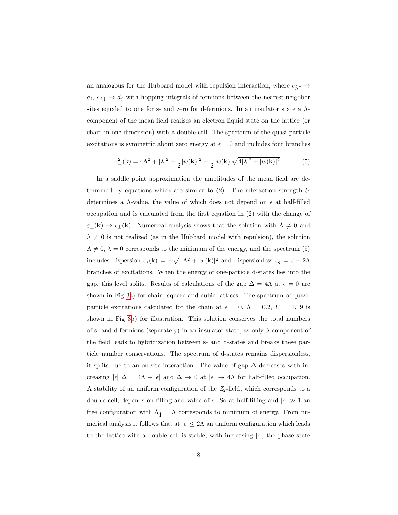an analogous for the Hubbard model with repulsion interaction, where  $c_{j,\uparrow} \rightarrow$  $c_j, c_{j,\downarrow} \to d_j$  with hopping integrals of fermions between the nearest-neighbor sites equaled to one for s- and zero for d-fermions. In an insulator state a Λcomponent of the mean field realises an electron liquid state on the lattice (or chain in one dimension) with a double cell. The spectrum of the quasi-particle excitations is symmetric about zero energy at  $\epsilon = 0$  and includes four branches

$$
\epsilon_{\pm}^{2}(\mathbf{k}) = 4\Lambda^{2} + |\lambda|^{2} + \frac{1}{2}|w(\mathbf{k})|^{2} \pm \frac{1}{2}|w(\mathbf{k})|\sqrt{4|\lambda|^{2} + |w(\mathbf{k})|^{2}}.
$$
 (5)

In a saddle point approximation the amplitudes of the mean field are determined by equations which are similar to  $(2)$ . The interaction strength U determines a  $\Lambda$ -value, the value of which does not depend on  $\epsilon$  at half-filled occupation and is calculated from the first equation in (2) with the change of  $\varepsilon_{\pm}(\mathbf{k}) \to \varepsilon_{\pm}(\mathbf{k})$ . Numerical analysis shows that the solution with  $\Lambda \neq 0$  and  $\lambda \neq 0$  is not realized (as in the Hubbard model with repulsion), the solution  $\Lambda \neq 0, \lambda = 0$  corresponds to the minimum of the energy, and the spectrum (5) includes dispersion  $\epsilon_s(\mathbf{k}) = \pm \sqrt{4\Lambda^2 + |w(\mathbf{k})|^2}$  and dispersionless  $\epsilon_g = \epsilon \pm 2\Lambda$ branches of excitations. When the energy of one-particle d-states lies into the gap, this level splits. Results of calculations of the gap  $\Delta = 4\Lambda$  at  $\epsilon = 0$  are shown in Fig [3a](#page-8-0)) for chain, square and cubic lattices. The spectrum of quasiparticle excitations calculated for the chain at  $\epsilon = 0$ ,  $\Lambda = 0.2$ ,  $U = 1.19$  is shown in Fig [3b](#page-8-0)) for illustration. This solution conserves the total numbers of s- and d-fermions (separately) in an insulator state, as only  $\lambda$ -component of the field leads to hybridization between s- and d-states and breaks these particle number conservations. The spectrum of d-states remains dispersionless, it splits due to an on-site interaction. The value of gap  $\Delta$  decreases with increasing  $|\epsilon| \Delta = 4\Lambda - |\epsilon|$  and  $\Delta \rightarrow 0$  at  $|\epsilon| \rightarrow 4\Lambda$  for half-filled occupation. A stability of an uniform configuration of the  $Z_2$ -field, which corresponds to a double cell, depends on filling and value of  $\epsilon$ . So at half-filling and  $|\epsilon| \gg 1$  and free configuration with  $\Lambda_i = \Lambda$  corresponds to minimum of energy. From numerical analysis it follows that at  $|\epsilon| \leq 2\Lambda$  an uniform configuration which leads to the lattice with a double cell is stable, with increasing  $|\epsilon|$ , the phase state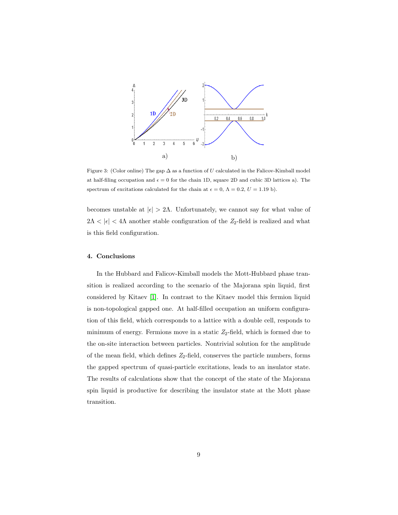

<span id="page-8-0"></span>Figure 3: (Color online) The gap  $\Delta$  as a function of U calculated in the Falicov-Kimball model at half-filing occupation and  $\epsilon = 0$  for the chain 1D, square 2D and cubic 3D lattices a). The spectrum of excitations calculated for the chain at  $\epsilon = 0$ ,  $\Lambda = 0.2$ ,  $U = 1.19$  b).

becomes unstable at  $|\epsilon| > 2\Lambda$ . Unfortunately, we cannot say for what value of  $2\Lambda<|\epsilon|<4\Lambda$  another stable configuration of the  $Z_2\text{-field}$  is realized and what is this field configuration.

## 4. Conclusions

In the Hubbard and Falicov-Kimball models the Mott-Hubbard phase transition is realized according to the scenario of the Majorana spin liquid, first considered by Kitaev [\[1\]](#page-11-0). In contrast to the Kitaev model this fermion liquid is non-topological gapped one. At half-filled occupation an uniform configuration of this field, which corresponds to a lattice with a double cell, responds to minimum of energy. Fermions move in a static  $Z_2$ -field, which is formed due to the on-site interaction between particles. Nontrivial solution for the amplitude of the mean field, which defines  $Z_2$ -field, conserves the particle numbers, forms the gapped spectrum of quasi-particle excitations, leads to an insulator state. The results of calculations show that the concept of the state of the Majorana spin liquid is productive for describing the insulator state at the Mott phase transition.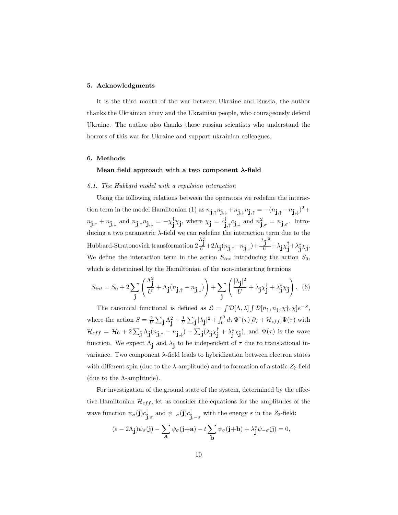## 5. Acknowledgments

It is the third month of the war between Ukraine and Russia, the author thanks the Ukrainian army and the Ukrainian people, who courageously defend Ukraine. The author also thanks those russian scientists who understand the horrors of this war for Ukraine and support ukrainian colleagues.

# 6. Methods

## Mean field approach with a two component  $\lambda$ -field

### 6.1. The Hubbard model with a repulsion interaction

Using the following relations between the operators we redefine the interaction term in the model Hamiltonian (1) as  $n_{\mathbf{j},\uparrow}n_{\mathbf{j},\downarrow}+n_{\mathbf{j},\downarrow}n_{\mathbf{j},\uparrow} = -(n_{\mathbf{j},\uparrow}-n_{\mathbf{j},\downarrow})^2 +$  $n_{\mathbf{j},\uparrow} + n_{\mathbf{j},\downarrow}$  and  $n_{\mathbf{j},\uparrow} + n_{\mathbf{j},\downarrow} = -\chi_{\mathbf{j}}^{\dagger} \chi_{\mathbf{j}},$  where  $\chi_{\mathbf{j}} = c_{\mathbf{j},\uparrow}^{\dagger} c_{\mathbf{j},\downarrow}$  and  $n_{\mathbf{j},\sigma}^2 = n_{\mathbf{j},\sigma}$ . Introducing a two parametric  $\lambda$ -field we can redefine the interaction term due to the Hubbard-Stratonovich transformation 2  $\frac{\Lambda_\mathbf{j}^2}{U} + 2\Lambda_\mathbf{j} (n_{\mathbf{j},\uparrow}-n_{\mathbf{j},\downarrow}) + \frac{|\lambda_\mathbf{j}|^2}{U}$  $\frac{\dot{\mathbf{j}}^\top}{U} + \lambda_{\mathbf{j}} \chi_{\mathbf{j}}^\dagger + \lambda_{\mathbf{j}}^* \chi_{\mathbf{j}}.$ We define the interaction term in the action  $S_{int}$  introducing the action  $S_0$ , which is determined by the Hamiltonian of the non-interacting fermions

$$
S_{int} = S_0 + 2\sum_{\mathbf{j}} \left( \frac{\Lambda_{\mathbf{j}}^2}{U} + \Lambda_{\mathbf{j}} (n_{\mathbf{j},\uparrow} - n_{\mathbf{j},\downarrow}) \right) + \sum_{\mathbf{j}} \left( \frac{|\lambda_{\mathbf{j}}|^2}{U} + \lambda_{\mathbf{j}} \chi_{\mathbf{j}}^{\dagger} + \lambda_{\mathbf{j}}^* \chi_{\mathbf{j}} \right). \tag{6}
$$

The canonical functional is defined as  $\mathcal{L} = \int \mathcal{D}[\Lambda, \lambda] \int \mathcal{D}[n_{\uparrow}, n_{\downarrow}, \chi^{\dagger}, \chi] e^{-S}$ , where the action  $S = \frac{2}{U} \sum_j \Lambda_j^2 + \frac{1}{U} \sum_j |\lambda_j|^2 + \int_0^\beta d\tau \Psi^\dagger(\tau) [\partial_\tau + \mathcal{H}_{eff}] \Psi(\tau)$  with  $\mathcal{H}_{eff} = \mathcal{H}_0 + 2 \sum_{\mathbf{j}} \Lambda_{\mathbf{j}} (n_{\mathbf{j},\uparrow} - n_{\mathbf{j},\downarrow}) + \sum_{\mathbf{j}} (\lambda_{\mathbf{j}} \chi_{\mathbf{j}}^{\dagger} + \lambda_{\mathbf{j}}^* \chi_{\mathbf{j}}),$  and  $\Psi(\tau)$  is the wave function. We expect  $\Lambda_j$  and  $\lambda_j$  to be independent of  $\tau$  due to translational invariance. Two component λ-field leads to hybridization between electron states with different spin (due to the  $\lambda$ -amplitude) and to formation of a static  $Z_2$ -field (due to the  $\Lambda$ -amplitude).

For investigation of the ground state of the system, determined by the effective Hamiltonian  $\mathcal{H}_{eff}$ , let us consider the equations for the amplitudes of the wave function  $\psi_{\sigma}(\mathbf{j})c_{\mathbf{j},\sigma}^{\dagger}$  and  $\psi_{-\sigma}(\mathbf{j})c_{\mathbf{j},-\sigma}^{\dagger}$  with the energy  $\varepsilon$  in the Z<sub>2</sub>-field:

$$
(\varepsilon - 2\Lambda_{\mathbf{j}})\psi_{\sigma}(\mathbf{j}) - \sum_{\mathbf{a}} \psi_{\sigma}(\mathbf{j} + \mathbf{a}) - t \sum_{\mathbf{b}} \psi_{\sigma}(\mathbf{j} + \mathbf{b}) + \lambda_{\mathbf{j}}^* \psi_{-\sigma}(\mathbf{j}) = 0,
$$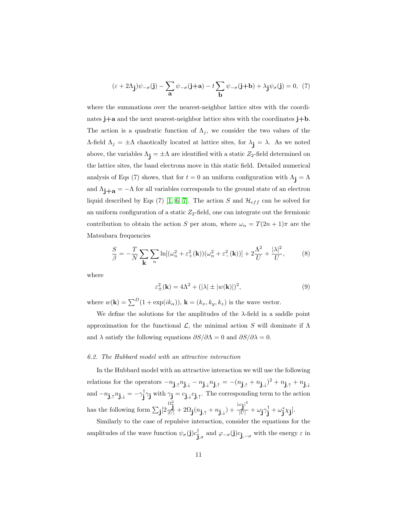$$
(\varepsilon + 2\Lambda_{\mathbf{j}})\psi_{-\sigma}(\mathbf{j}) - \sum_{\mathbf{a}} \psi_{-\sigma}(\mathbf{j} + \mathbf{a}) - t \sum_{\mathbf{b}} \psi_{-\sigma}(\mathbf{j} + \mathbf{b}) + \lambda_{\mathbf{j}} \psi_{\sigma}(\mathbf{j}) = 0, \tag{7}
$$

where the summations over the nearest-neighbor lattice sites with the coordinates  $j+a$  and the next nearest-neighbor lattice sites with the coordinates  $j+b$ . The action is a quadratic function of  $\Lambda_j$ , we consider the two values of the Λ-field  $Λ_j = ±Λ$  chaotically located at lattice sites, for  $λ_j = λ$ . As we noted above, the variables  $\Lambda_j = \pm \Lambda$  are identified with a static  $Z_2$ -field determined on the lattice sites, the band electrons move in this static field. Detailed numerical analysis of Eqs (7) shows, that for  $t = 0$  an uniform configuration with  $\Lambda_i = \Lambda$ and  $\Lambda_{j+a} = -\Lambda$  for all variables corresponds to the ground state of an electron liquid described by Eqs (7) [\[1,](#page-11-0) [6,](#page-11-5) [7\]](#page-12-0). The action S and  $\mathcal{H}_{eff}$  can be solved for an uniform configuration of a static  $Z_2$ -field, one can integrate out the fermionic contribution to obtain the action S per atom, where  $\omega_n = T(2n + 1)\pi$  are the Matsubara frequencies

$$
\frac{S}{\beta} = -\frac{T}{N} \sum_{\mathbf{k}} \sum_{n} \ln[(\omega_n^2 + \varepsilon_+^2(\mathbf{k}))(\omega_n^2 + \varepsilon_-^2(\mathbf{k}))] + 2\frac{\Lambda^2}{U} + \frac{|\lambda|^2}{U},\tag{8}
$$

where

$$
\varepsilon_{\pm}^{2}(\mathbf{k}) = 4\Lambda^{2} + (|\lambda| \pm |w(\mathbf{k})|)^{2},\tag{9}
$$

where  $w(\mathbf{k}) = \sum^{D} (1 + \exp(ik_{\alpha}))$ ,  $\mathbf{k} = (k_x, k_y, k_z)$  is the wave vector.

We define the solutions for the amplitudes of the  $\lambda$ -field in a saddle point approximation for the functional  $\mathcal{L}$ , the minimal action S will dominate if  $\Lambda$ and  $\lambda$  satisfy the following equations  $\partial S/\partial \Lambda = 0$  and  $\partial S/\partial \lambda = 0$ .

#### 6.2. The Hubbard model with an attractive interaction

In the Hubbard model with an attractive interaction we will use the following relations for the operators  $-n_{\mathbf{j},\uparrow}n_{\mathbf{j},\downarrow}-n_{\mathbf{j},\downarrow}n_{\mathbf{j},\uparrow}=-(n_{\mathbf{j},\uparrow}+n_{\mathbf{j},\downarrow})^2+n_{\mathbf{j},\uparrow}+n_{\mathbf{j},\downarrow}$ and  $-n_{\mathbf{j},\uparrow}n_{\mathbf{j},\downarrow} = -\gamma_{\mathbf{j}}^{\dagger}\gamma_{\mathbf{j}}$  with  $\gamma_{\mathbf{j}} = c_{\mathbf{j},\downarrow}c_{\mathbf{j},\uparrow}$ . The corresponding term to the action has the following form  $\sum_j$ [2]  $\frac{\Omega_{\mathbf{j}}^2}{|U|}+2\Omega_{\mathbf{j}}(n_{\mathbf{j},\uparrow}+n_{\mathbf{j},\downarrow})+\frac{|\omega_{\mathbf{j}}|^2}{|U|}$  $\frac{\omega\mathbf{j}^{\dagger}}{|U|} + \omega\mathbf{j}\gamma\mathbf{j}^{\dagger} + \omega\mathbf{j}^{\ast}\chi\mathbf{j}].$ 

Similarly to the case of repulsive interaction, consider the equations for the amplitudes of the wave function  $\psi_{\sigma}(\mathbf{j})c_{\mathbf{j},\sigma}^{\dagger}$  and  $\varphi_{-\sigma}(\mathbf{j})c_{\mathbf{j},-\sigma}$  with the energy  $\varepsilon$  in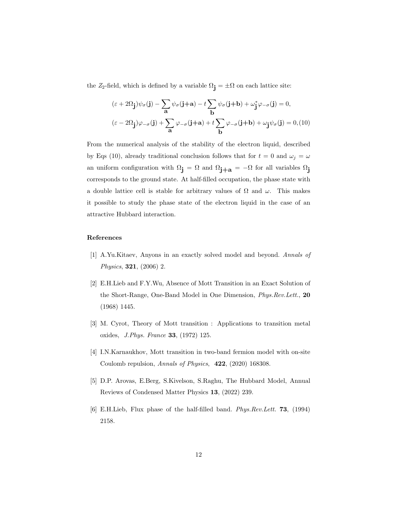the  $Z_2$ -field, which is defined by a variable  $\Omega_j = \pm \Omega$  on each lattice site:

$$
(\varepsilon + 2\Omega_{\mathbf{j}})\psi_{\sigma}(\mathbf{j}) - \sum_{\mathbf{a}} \psi_{\sigma}(\mathbf{j} + \mathbf{a}) - t \sum_{\mathbf{b}} \psi_{\sigma}(\mathbf{j} + \mathbf{b}) + \omega_{\mathbf{j}}^* \varphi_{-\sigma}(\mathbf{j}) = 0,
$$
  

$$
(\varepsilon - 2\Omega_{\mathbf{j}})\varphi_{-\sigma}(\mathbf{j}) + \sum_{\mathbf{a}} \varphi_{-\sigma}(\mathbf{j} + \mathbf{a}) + t \sum_{\mathbf{b}} \varphi_{-\sigma}(\mathbf{j} + \mathbf{b}) + \omega_{\mathbf{j}} \psi_{\sigma}(\mathbf{j}) = 0, \text{(10)}
$$

From the numerical analysis of the stability of the electron liquid, described by Eqs (10), already traditional conclusion follows that for  $t = 0$  and  $\omega_j = \omega$ an uniform configuration with  $\Omega_j = \Omega$  and  $\Omega_{j+a} = -\Omega$  for all variables  $\Omega_j$ corresponds to the ground state. At half-filled occupation, the phase state with a double lattice cell is stable for arbitrary values of  $\Omega$  and  $\omega$ . This makes it possible to study the phase state of the electron liquid in the case of an attractive Hubbard interaction.

# References

- <span id="page-11-0"></span>[1] A.Yu.Kitaev, Anyons in an exactly solved model and beyond. Annals of Physics, 321, (2006) 2.
- <span id="page-11-1"></span>[2] E.H.Lieb and F.Y.Wu, Absence of Mott Transition in an Exact Solution of the Short-Range, One-Band Model in One Dimension, Phys.Rev.Lett., 20 (1968) 1445.
- <span id="page-11-2"></span>[3] M. Cyrot, Theory of Mott transition : Applications to transition metal oxides, J.Phys. France 33, (1972) 125.
- <span id="page-11-3"></span>[4] I.N.Karnaukhov, Mott transition in two-band fermion model with on-site Coulomb repulsion, Annals of Physics, 422, (2020) 168308.
- <span id="page-11-4"></span>[5] D.P. Arovas, E.Berg, S.Kivelson, S.Raghu, The Hubbard Model, Annual Reviews of Condensed Matter Physics 13, (2022) 239.
- <span id="page-11-5"></span>[6] E.H.Lieb, Flux phase of the half-filled band. Phys.Rev.Lett. 73, (1994) 2158.